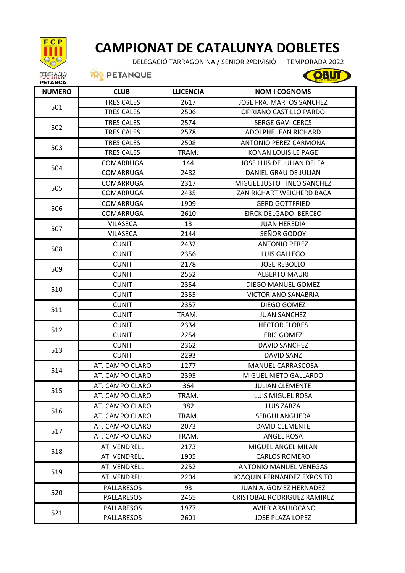

## **CAMPIONAT DE CATALUNYA DOBLETES**

DELEGACIÓ TARRAGONINA / SENIOR 2ºDIVISIÓ TEMPORADA 2022

**OBUT** 

**PRO PETANQUE** 

| <b>NUMERO</b> | <b>CLUB</b>       | <b>LLICENCIA</b> | <b>NOM I COGNOMS</b>              |
|---------------|-------------------|------------------|-----------------------------------|
| 501           | <b>TRES CALES</b> | 2617             | JOSE FRA. MARTOS SANCHEZ          |
|               | <b>TRES CALES</b> | 2506             | CIPRIANO CASTILLO PARDO           |
| 502           | <b>TRES CALES</b> | 2574             | <b>SERGE GAVI CERCS</b>           |
|               | <b>TRES CALES</b> | 2578             | ADOLPHE JEAN RICHARD              |
| 503           | <b>TRES CALES</b> | 2508             | ANTONIO PEREZ CARMONA             |
|               | <b>TRES CALES</b> | TRAM.            | KONAN LOUIS LE PAGE               |
| 504           | <b>COMARRUGA</b>  | 144              | JOSE LUIS DE JULIAN DELFA         |
|               | COMARRUGA         | 2482             | DANIEL GRAU DE JULIAN             |
| 505           | COMARRUGA         | 2317             | MIGUEL JUSTO TINEO SANCHEZ        |
|               | COMARRUGA         | 2435             | IZAN RICHART WEICHERD BACA        |
|               | COMARRUGA         | 1909             | <b>GERD GOTTFRIED</b>             |
| 506           | COMARRUGA         | 2610             | EIRCK DELGADO BERCEO              |
|               | <b>VILASECA</b>   | 13               | <b>JUAN HEREDIA</b>               |
| 507           | <b>VILASECA</b>   | 2144             | SEÑOR GODOY                       |
|               | <b>CUNIT</b>      | 2432             | <b>ANTONIO PEREZ</b>              |
| 508           | <b>CUNIT</b>      | 2356             | LUIS GALLEGO                      |
|               | <b>CUNIT</b>      | 2178             | <b>JOSE REBOLLO</b>               |
| 509           | <b>CUNIT</b>      | 2552             | <b>ALBERTO MAURI</b>              |
|               | <b>CUNIT</b>      | 2354             | DIEGO MANUEL GOMEZ                |
| 510           | <b>CUNIT</b>      | 2355             | <b>VICTORIANO SANABRIA</b>        |
|               | <b>CUNIT</b>      | 2357             | DIEGO GOMEZ                       |
| 511           | <b>CUNIT</b>      | TRAM.            | <b>JUAN SANCHEZ</b>               |
| 512           | <b>CUNIT</b>      | 2334             | <b>HECTOR FLORES</b>              |
|               | <b>CUNIT</b>      | 2254             | <b>ERIC GOMEZ</b>                 |
| 513           | <b>CUNIT</b>      | 2362             | <b>DAVID SANCHEZ</b>              |
|               | <b>CUNIT</b>      | 2293             | DAVID SANZ                        |
| 514           | AT. CAMPO CLARO   | 1277             | MANUEL CARRASCOSA                 |
|               | AT. CAMPO CLARO   | 2395             | MIGUEL NIETO GALLARDO             |
| 515           | AT. CAMPO CLARO   | 364              | <b>JULIAN CLEMENTE</b>            |
|               | AT. CAMPO CLARO   | TRAM.            | <b>LUIS MIGUEL ROSA</b>           |
| 516           | AT. CAMPO CLARO   | 382              | <b>LUIS ZARZA</b>                 |
|               | AT. CAMPO CLARO   | TRAM.            | <b>SERGUI ANGUERA</b>             |
|               | AT. CAMPO CLARO   | 2073             | <b>DAVID CLEMENTE</b>             |
| 517           | AT. CAMPO CLARO   | TRAM.            | ANGEL ROSA                        |
| 518           | AT. VENDRELL      | 2173             | MIGUEL ANGEL MILAN                |
|               | AT. VENDRELL      | 1905             | <b>CARLOS ROMERO</b>              |
| 519           | AT. VENDRELL      | 2252             | <b>ANTONIO MANUEL VENEGAS</b>     |
|               | AT. VENDRELL      | 2204             | <b>JOAQUIN FERNANDEZ EXPOSITO</b> |
| 520           | <b>PALLARESOS</b> | 93               | JUAN A. GOMEZ HERNADEZ            |
|               | <b>PALLARESOS</b> | 2465             | CRISTOBAL RODRIGUEZ RAMIREZ       |
| 521           | PALLARESOS        | 1977             | JAVIER ARAUJOCANO                 |
|               | <b>PALLARESOS</b> | 2601             | <b>JOSE PLAZA LOPEZ</b>           |